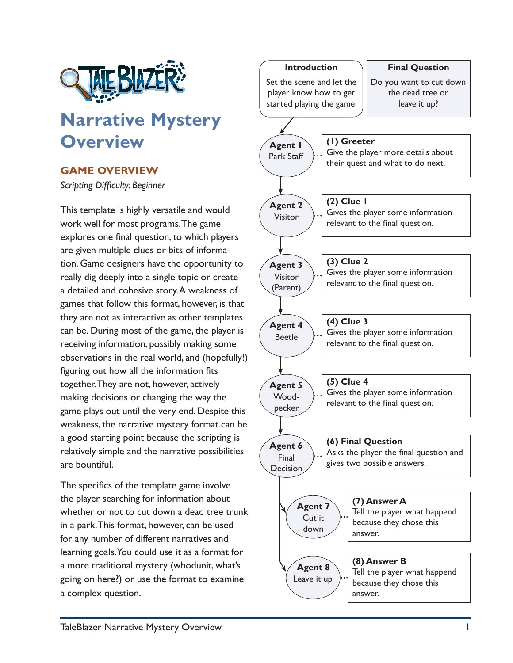

## **Narrative Mystery Overview**

## **GAME OVERVIEW**

*Scripting Difficulty: Beginner*

This template is highly versatile and would work well for most programs. The game explores one final question, to which players are given multiple clues or bits of information. Game designers have the opportunity to really dig deeply into a single topic or create a detailed and cohesive story. A weakness of games that follow this format, however, is that they are not as interactive as other templates can be. During most of the game, the player is receiving information, possibly making some observations in the real world, and (hopefully!) figuring out how all the information fits together. They are not, however, actively making decisions or changing the way the game plays out until the very end. Despite this weakness, the narrative mystery format can be a good starting point because the scripting is relatively simple and the narrative possibilities are bountiful.

The specifics of the template game involve the player searching for information about whether or not to cut down a dead tree trunk in a park. This format, however, can be used for any number of different narratives and learning goals. You could use it as a format for a more traditional mystery (whodunit, what's going on here?) or use the format to examine a complex question.